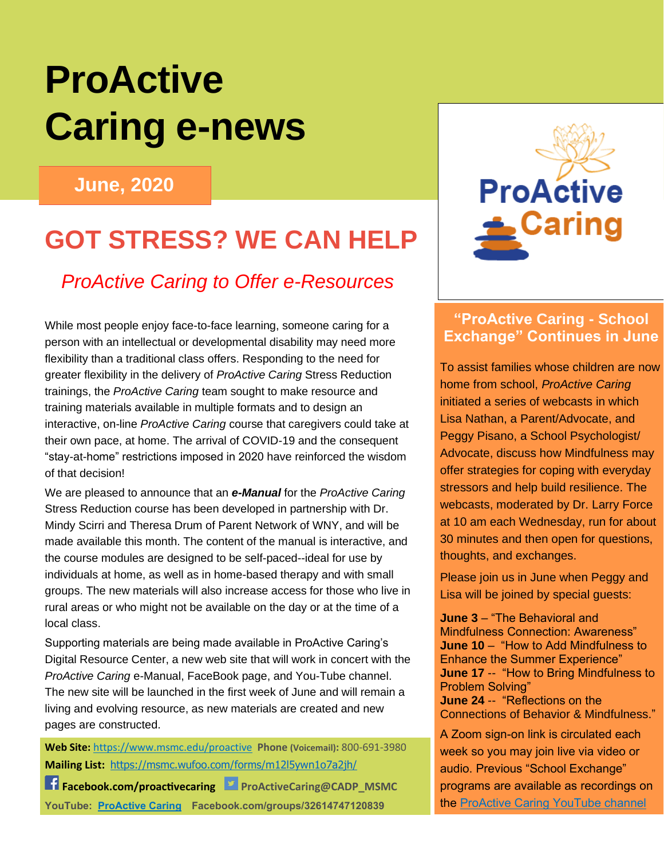# **ProActive Caring e-news**

#### **June, 2020**

## **GOT STRESS? WE CAN HELP**

#### *ProActive Caring to Offer e-Resources*

While most people enjoy face-to-face learning, someone caring for a person with an intellectual or developmental disability may need more flexibility than a traditional class offers. Responding to the need for greater flexibility in the delivery of *ProActive Caring* Stress Reduction trainings, the *ProActive Caring* team sought to make resource and training materials available in multiple formats and to design an interactive, on-line *ProActive Caring* course that caregivers could take at their own pace, at home. The arrival of COVID-19 and the consequent "stay-at-home" restrictions imposed in 2020 have reinforced the wisdom of that decision!

We are pleased to announce that an *e-Manual* for the *ProActive Caring* Stress Reduction course has been developed in partnership with Dr. Mindy Scirri and Theresa Drum of Parent Network of WNY, and will be made available this month. The content of the manual is interactive, and the course modules are designed to be self-paced--ideal for use by individuals at home, as well as in home-based therapy and with small groups. The new materials will also increase access for those who live in rural areas or who might not be available on the day or at the time of a local class.

Supporting materials are being made available in ProActive Caring's Digital Resource Center, a new web site that will work in concert with the *ProActive Caring* e-Manual, FaceBook page, and You-Tube channel. The new site will be launched in the first week of June and will remain a living and evolving resource, as new materials are created and new pages are constructed.

**Web Site:** <https://www.msmc.edu/proactive> **Phone (Voicemail):** 800-691-3980 **Mailing List:** <https://msmc.wufoo.com/forms/m12l5ywn1o7a2jh/>

**F** Facebook.com/proactivecaring PProActiveCaring@CADP\_MSMC **YouTube: [ProActive Caring](https://www.youtube.com/channel/UCbJHcQJH7uGYEjNVgA7EVMg/featured) Facebook.com/groups/32614747120839**



#### **"ProActive Caring - School Exchange" Continues in June**

To assist families whose children are now home from school, *ProActive Caring* initiated a series of webcasts in which Lisa Nathan, a Parent/Advocate, and Peggy Pisano, a School Psychologist/ Advocate, discuss how Mindfulness may offer strategies for coping with everyday stressors and help build resilience. The webcasts, moderated by Dr. Larry Force at 10 am each Wednesday, run for about 30 minutes and then open for questions, thoughts, and exchanges.

Please join us in June when Peggy and Lisa will be joined by special guests:

**June 3** – "The Behavioral and Mindfulness Connection: Awareness" **June 10** – "How to Add Mindfulness to Enhance the Summer Experience" **June 17** -- "How to Bring Mindfulness to Problem Solving" **June 24** -- "Reflections on the Connections of Behavior & Mindfulness."

A Zoom sign-on link is circulated each week so you may join live via video or audio. Previous "School Exchange" programs are available as recordings on the [ProActive Caring YouTube channel](https://www.youtube.com/channel/UCbJHcQJH7uGYEjNVgA7EVMg)